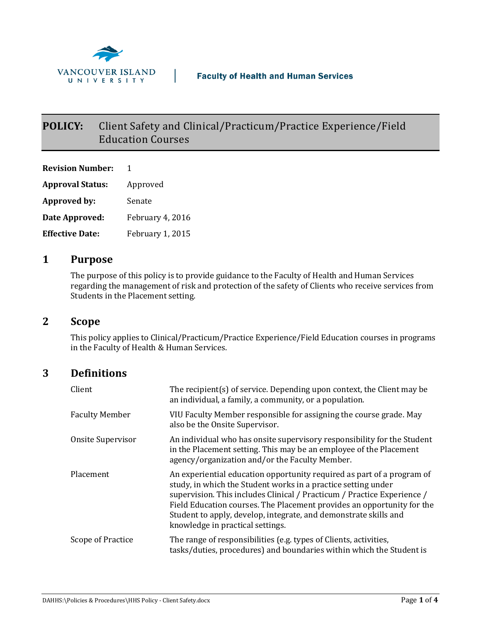

# **POLICY:** Client Safety and Clinical/Practicum/Practice Experience/Field Education Courses

**Revision Number:** 1 **Approval Status:** Approved **Approved by:** Senate **Date Approved:** February 4, 2016 **Effective Date:** February 1, 2015

### **1 Purpose**

The purpose of this policy is to provide guidance to the Faculty of Health and Human Services regarding the management of risk and protection of the safety of Clients who receive services from Students in the Placement setting.

### **2 Scope**

This policy applies to Clinical/Practicum/Practice Experience/Field Education courses in programs in the Faculty of Health & Human Services.

### **3 Definitions**

| Client                | The recipient(s) of service. Depending upon context, the Client may be<br>an individual, a family, a community, or a population.                                                                                                                                                                                                                                                                     |
|-----------------------|------------------------------------------------------------------------------------------------------------------------------------------------------------------------------------------------------------------------------------------------------------------------------------------------------------------------------------------------------------------------------------------------------|
| <b>Faculty Member</b> | VIU Faculty Member responsible for assigning the course grade. May<br>also be the Onsite Supervisor.                                                                                                                                                                                                                                                                                                 |
| Onsite Supervisor     | An individual who has onsite supervisory responsibility for the Student<br>in the Placement setting. This may be an employee of the Placement<br>agency/organization and/or the Faculty Member.                                                                                                                                                                                                      |
| Placement             | An experiential education opportunity required as part of a program of<br>study, in which the Student works in a practice setting under<br>supervision. This includes Clinical / Practicum / Practice Experience /<br>Field Education courses. The Placement provides an opportunity for the<br>Student to apply, develop, integrate, and demonstrate skills and<br>knowledge in practical settings. |
| Scope of Practice     | The range of responsibilities (e.g. types of Clients, activities,<br>tasks/duties, procedures) and boundaries within which the Student is                                                                                                                                                                                                                                                            |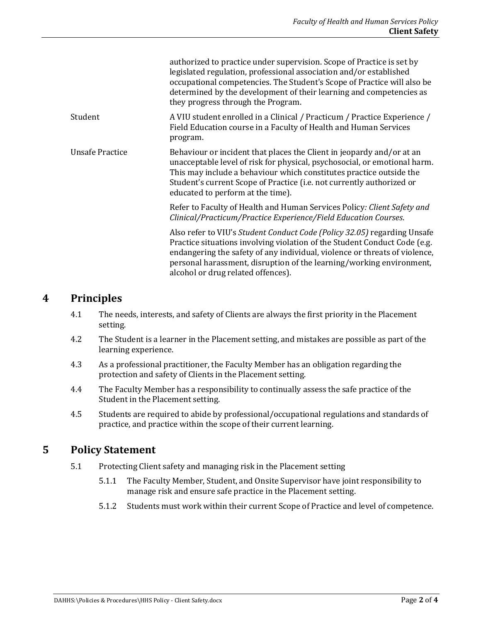|                        | authorized to practice under supervision. Scope of Practice is set by<br>legislated regulation, professional association and/or established<br>occupational competencies. The Student's Scope of Practice will also be<br>determined by the development of their learning and competencies as<br>they progress through the Program.               |
|------------------------|---------------------------------------------------------------------------------------------------------------------------------------------------------------------------------------------------------------------------------------------------------------------------------------------------------------------------------------------------|
| Student                | A VIU student enrolled in a Clinical / Practicum / Practice Experience /<br>Field Education course in a Faculty of Health and Human Services<br>program.                                                                                                                                                                                          |
| <b>Unsafe Practice</b> | Behaviour or incident that places the Client in jeopardy and/or at an<br>unacceptable level of risk for physical, psychosocial, or emotional harm.<br>This may include a behaviour which constitutes practice outside the<br>Student's current Scope of Practice (i.e. not currently authorized or<br>educated to perform at the time).           |
|                        | Refer to Faculty of Health and Human Services Policy: Client Safety and<br>Clinical/Practicum/Practice Experience/Field Education Courses.                                                                                                                                                                                                        |
|                        | Also refer to VIU's Student Conduct Code (Policy 32.05) regarding Unsafe<br>Practice situations involving violation of the Student Conduct Code (e.g.<br>endangering the safety of any individual, violence or threats of violence,<br>personal harassment, disruption of the learning/working environment,<br>alcohol or drug related offences). |

#### **4 Principles**

- 4.1 The needs, interests, and safety of Clients are always the first priority in the Placement setting.
- 4.2 The Student is a learner in the Placement setting, and mistakes are possible as part of the learning experience.
- 4.3 As a professional practitioner, the Faculty Member has an obligation regarding the protection and safety of Clients in the Placement setting.
- 4.4 The Faculty Member has a responsibility to continually assess the safe practice of the Student in the Placement setting.
- 4.5 Students are required to abide by professional/occupational regulations and standards of practice, and practice within the scope of their current learning.

## **5 Policy Statement**

- 5.1 Protecting Client safety and managing risk in the Placement setting
	- 5.1.1 The Faculty Member, Student, and Onsite Supervisor have joint responsibility to manage risk and ensure safe practice in the Placement setting.
	- 5.1.2 Students must work within their current Scope of Practice and level of competence.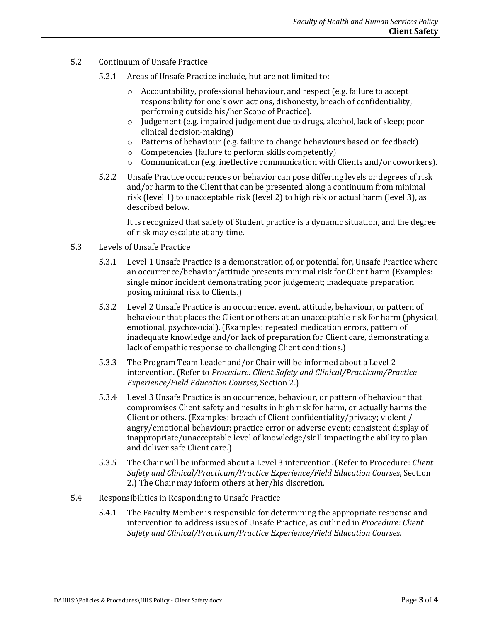- 5.2 Continuum of Unsafe Practice
	- 5.2.1 Areas of Unsafe Practice include, but are not limited to:
		- o Accountability, professional behaviour, and respect (e.g. failure to accept responsibility for one's own actions, dishonesty, breach of confidentiality, performing outside his/her Scope of Practice).
		- $\circ$  Judgement (e.g. impaired judgement due to drugs, alcohol, lack of sleep; poor clinical decision-making)
		- o Patterns of behaviour (e.g. failure to change behaviours based on feedback)
		- o Competencies (failure to perform skills competently)
		- $\circ$  Communication (e.g. ineffective communication with Clients and/or coworkers).
	- 5.2.2 Unsafe Practice occurrences or behavior can pose differing levels or degrees of risk and/or harm to the Client that can be presented along a continuum from minimal risk (level 1) to unacceptable risk (level 2) to high risk or actual harm (level 3), as described below.

It is recognized that safety of Student practice is a dynamic situation, and the degree of risk may escalate at any time.

- 5.3 Levels of Unsafe Practice
	- 5.3.1 Level 1 Unsafe Practice is a demonstration of, or potential for, Unsafe Practice where an occurrence/behavior/attitude presents minimal risk for Client harm (Examples: single minor incident demonstrating poor judgement; inadequate preparation posing minimal risk to Clients.)
	- 5.3.2 Level 2 Unsafe Practice is an occurrence, event, attitude, behaviour, or pattern of behaviour that places the Client or others at an unacceptable risk for harm (physical, emotional, psychosocial). (Examples: repeated medication errors, pattern of inadequate knowledge and/or lack of preparation for Client care, demonstrating a lack of empathic response to challenging Client conditions.)
	- 5.3.3 The Program Team Leader and/or Chair will be informed about a Level 2 intervention. (Refer to *Procedure: Client Safety and Clinical/Practicum/Practice Experience/Field Education Courses*, Section 2.)
	- 5.3.4 Level 3 Unsafe Practice is an occurrence, behaviour, or pattern of behaviour that compromises Client safety and results in high risk for harm, or actually harms the Client or others. (Examples: breach of Client confidentiality/privacy; violent / angry/emotional behaviour; practice error or adverse event; consistent display of inappropriate/unacceptable level of knowledge/skill impacting the ability to plan and deliver safe Client care.)
	- 5.3.5 The Chair will be informed about a Level 3 intervention. (Refer to Procedure: *Client Safety and Clinical/Practicum/Practice Experience/Field Education Courses*, Section 2.) The Chair may inform others at her/his discretion.
- 5.4 Responsibilities in Responding to Unsafe Practice
	- 5.4.1 The Faculty Member is responsible for determining the appropriate response and intervention to address issues of Unsafe Practice, as outlined in *Procedure: Client Safety and Clinical/Practicum/Practice Experience/Field Education Courses*.